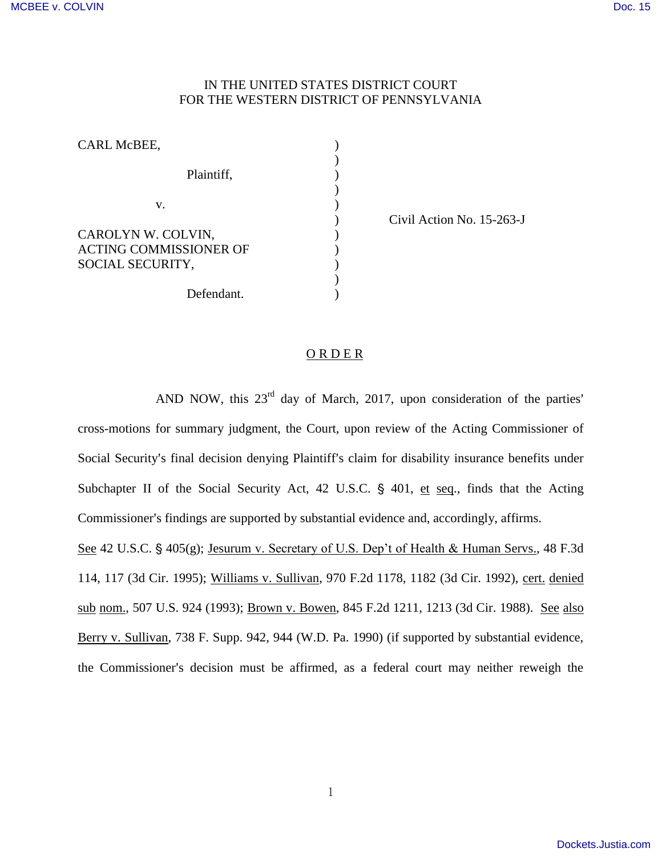## IN THE UNITED STATES DISTRICT COURT FOR THE WESTERN DISTRICT OF PENNSYLVANIA

| CARL McBEE,                                                             |  |
|-------------------------------------------------------------------------|--|
| Plaintiff,                                                              |  |
| V.                                                                      |  |
| CAROLYN W. COLVIN,<br><b>ACTING COMMISSIONER OF</b><br>SOCIAL SECURITY, |  |
| Defendant.                                                              |  |

) Civil Action No. 15-263-J

## ORDER

AND NOW, this  $23<sup>rd</sup>$  day of March, 2017, upon consideration of the parties' cross-motions for summary judgment, the Court, upon review of the Acting Commissioner of Social Security's final decision denying Plaintiff's claim for disability insurance benefits under Subchapter II of the Social Security Act, 42 U.S.C.  $\S$  401, et seq., finds that the Acting Commissioner's findings are supported by substantial evidence and, accordingly, affirms.

See 42 U.S.C. § 405(g); Jesurum v. Secretary of U.S. Dep't of Health & Human Servs., 48 F.3d 114, 117 (3d Cir. 1995); Williams v. Sullivan, 970 F.2d 1178, 1182 (3d Cir. 1992), cert. denied sub nom., 507 U.S. 924 (1993); Brown v. Bowen, 845 F.2d 1211, 1213 (3d Cir. 1988). See also Berry v. Sullivan, 738 F. Supp. 942, 944 (W.D. Pa. 1990) (if supported by substantial evidence, the Commissioner's decision must be affirmed, as a federal court may neither reweigh the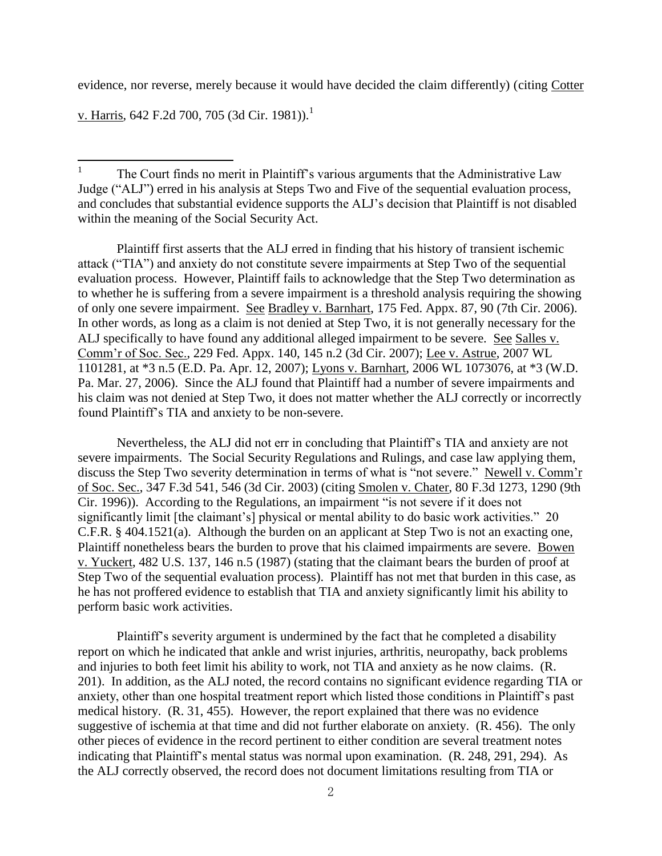evidence, nor reverse, merely because it would have decided the claim differently) (citing Cotter

v. Harris, 642 F.2d 700, 705 (3d Cir. 1981)).<sup>1</sup>

 Plaintiff first asserts that the ALJ erred in finding that his history of transient ischemic attack ("TIA") and anxiety do not constitute severe impairments at Step Two of the sequential evaluation process. However, Plaintiff fails to acknowledge that the Step Two determination as to whether he is suffering from a severe impairment is a threshold analysis requiring the showing of only one severe impairment. See Bradley v. Barnhart, 175 Fed. Appx. 87, 90 (7th Cir. 2006). In other words, as long as a claim is not denied at Step Two, it is not generally necessary for the ALJ specifically to have found any additional alleged impairment to be severe. See Salles v. Comm'r of Soc. Sec., 229 Fed. Appx. 140, 145 n.2 (3d Cir. 2007); Lee v. Astrue, 2007 WL 1101281, at \*3 n.5 (E.D. Pa. Apr. 12, 2007); Lyons v. Barnhart, 2006 WL 1073076, at \*3 (W.D. Pa. Mar. 27, 2006). Since the ALJ found that Plaintiff had a number of severe impairments and his claim was not denied at Step Two, it does not matter whether the ALJ correctly or incorrectly found Plaintiff's TIA and anxiety to be non-severe.

 Nevertheless, the ALJ did not err in concluding that Plaintiff's TIA and anxiety are not severe impairments. The Social Security Regulations and Rulings, and case law applying them, discuss the Step Two severity determination in terms of what is "not severe." Newell v. Comm'r of Soc. Sec., 347 F.3d 541, 546 (3d Cir. 2003) (citing Smolen v. Chater, 80 F.3d 1273, 1290 (9th Cir. 1996)). According to the Regulations, an impairment "is not severe if it does not significantly limit [the claimant's] physical or mental ability to do basic work activities." 20 C.F.R. § 404.1521(a). Although the burden on an applicant at Step Two is not an exacting one, Plaintiff nonetheless bears the burden to prove that his claimed impairments are severe. Bowen v. Yuckert, 482 U.S. 137, 146 n.5 (1987) (stating that the claimant bears the burden of proof at Step Two of the sequential evaluation process). Plaintiff has not met that burden in this case, as he has not proffered evidence to establish that TIA and anxiety significantly limit his ability to perform basic work activities.

 Plaintiff's severity argument is undermined by the fact that he completed a disability report on which he indicated that ankle and wrist injuries, arthritis, neuropathy, back problems and injuries to both feet limit his ability to work, not TIA and anxiety as he now claims. (R. 201). In addition, as the ALJ noted, the record contains no significant evidence regarding TIA or anxiety, other than one hospital treatment report which listed those conditions in Plaintiff's past medical history. (R. 31, 455). However, the report explained that there was no evidence suggestive of ischemia at that time and did not further elaborate on anxiety. (R. 456). The only other pieces of evidence in the record pertinent to either condition are several treatment notes indicating that Plaintiff's mental status was normal upon examination. (R. 248, 291, 294). As the ALJ correctly observed, the record does not document limitations resulting from TIA or

<sup>|&</sup>lt;br>|<br>| The Court finds no merit in Plaintiff's various arguments that the Administrative Law Judge ("ALJ") erred in his analysis at Steps Two and Five of the sequential evaluation process, and concludes that substantial evidence supports the ALJ's decision that Plaintiff is not disabled within the meaning of the Social Security Act.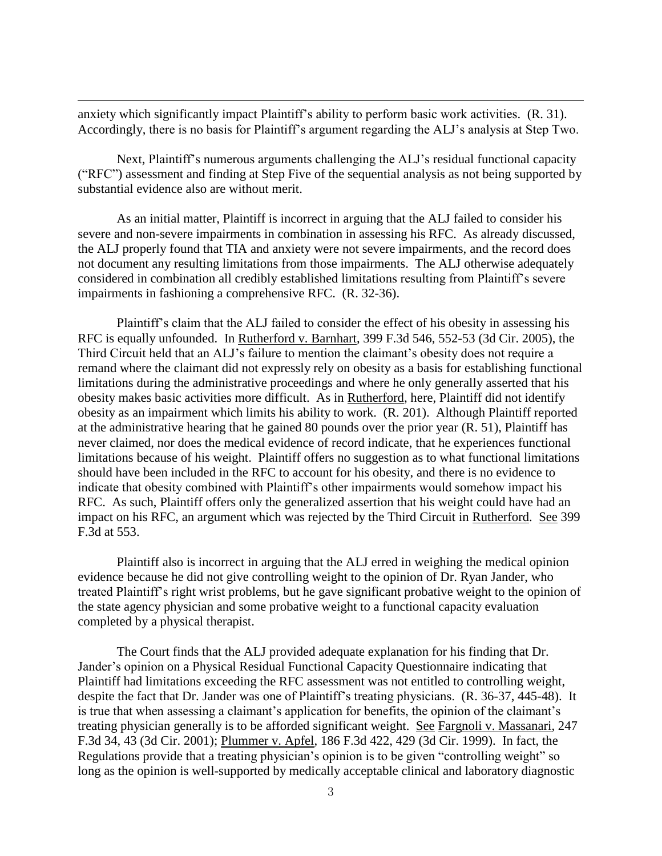anxiety which significantly impact Plaintiff's ability to perform basic work activities. (R. 31). Accordingly, there is no basis for Plaintiff's argument regarding the ALJ's analysis at Step Two.

 $\overline{a}$ 

 Next, Plaintiff's numerous arguments challenging the ALJ's residual functional capacity ("RFC") assessment and finding at Step Five of the sequential analysis as not being supported by substantial evidence also are without merit.

As an initial matter, Plaintiff is incorrect in arguing that the ALJ failed to consider his severe and non-severe impairments in combination in assessing his RFC. As already discussed, the ALJ properly found that TIA and anxiety were not severe impairments, and the record does not document any resulting limitations from those impairments. The ALJ otherwise adequately considered in combination all credibly established limitations resulting from Plaintiff's severe impairments in fashioning a comprehensive RFC. (R. 32-36).

Plaintiff's claim that the ALJ failed to consider the effect of his obesity in assessing his RFC is equally unfounded. In Rutherford v. Barnhart, 399 F.3d 546, 552-53 (3d Cir. 2005), the Third Circuit held that an ALJ's failure to mention the claimant's obesity does not require a remand where the claimant did not expressly rely on obesity as a basis for establishing functional limitations during the administrative proceedings and where he only generally asserted that his obesity makes basic activities more difficult. As in Rutherford, here, Plaintiff did not identify obesity as an impairment which limits his ability to work. (R. 201). Although Plaintiff reported at the administrative hearing that he gained 80 pounds over the prior year (R. 51), Plaintiff has never claimed, nor does the medical evidence of record indicate, that he experiences functional limitations because of his weight. Plaintiff offers no suggestion as to what functional limitations should have been included in the RFC to account for his obesity, and there is no evidence to indicate that obesity combined with Plaintiff's other impairments would somehow impact his RFC. As such, Plaintiff offers only the generalized assertion that his weight could have had an impact on his RFC, an argument which was rejected by the Third Circuit in Rutherford. See 399 F.3d at 553.

 Plaintiff also is incorrect in arguing that the ALJ erred in weighing the medical opinion evidence because he did not give controlling weight to the opinion of Dr. Ryan Jander, who treated Plaintiff's right wrist problems, but he gave significant probative weight to the opinion of the state agency physician and some probative weight to a functional capacity evaluation completed by a physical therapist.

 The Court finds that the ALJ provided adequate explanation for his finding that Dr. Jander's opinion on a Physical Residual Functional Capacity Questionnaire indicating that Plaintiff had limitations exceeding the RFC assessment was not entitled to controlling weight, despite the fact that Dr. Jander was one of Plaintiff's treating physicians. (R. 36-37, 445-48). It is true that when assessing a claimant's application for benefits, the opinion of the claimant's treating physician generally is to be afforded significant weight. See Fargnoli v. Massanari, 247 F.3d 34, 43 (3d Cir. 2001); Plummer v. Apfel, 186 F.3d 422, 429 (3d Cir. 1999). In fact, the Regulations provide that a treating physician's opinion is to be given "controlling weight" so long as the opinion is well-supported by medically acceptable clinical and laboratory diagnostic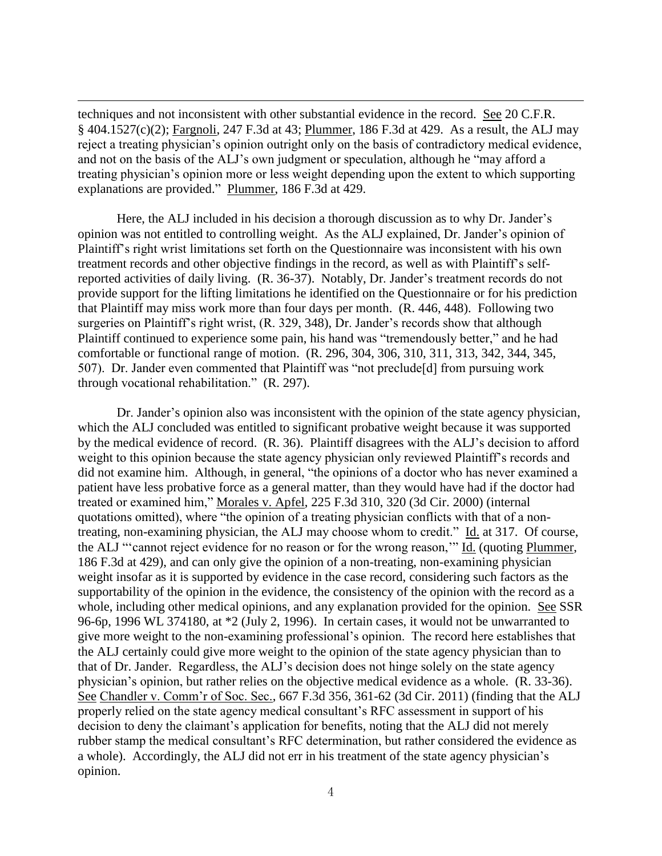techniques and not inconsistent with other substantial evidence in the record. See 20 C.F.R. § 404.1527(c)(2); Fargnoli, 247 F.3d at 43; Plummer, 186 F.3d at 429. As a result, the ALJ may reject a treating physician's opinion outright only on the basis of contradictory medical evidence, and not on the basis of the ALJ's own judgment or speculation, although he "may afford a treating physician's opinion more or less weight depending upon the extent to which supporting explanations are provided." Plummer, 186 F.3d at 429.

 $\overline{a}$ 

Here, the ALJ included in his decision a thorough discussion as to why Dr. Jander's opinion was not entitled to controlling weight. As the ALJ explained, Dr. Jander's opinion of Plaintiff's right wrist limitations set forth on the Questionnaire was inconsistent with his own treatment records and other objective findings in the record, as well as with Plaintiff's selfreported activities of daily living. (R. 36-37). Notably, Dr. Jander's treatment records do not provide support for the lifting limitations he identified on the Questionnaire or for his prediction that Plaintiff may miss work more than four days per month. (R. 446, 448). Following two surgeries on Plaintiff's right wrist, (R. 329, 348), Dr. Jander's records show that although Plaintiff continued to experience some pain, his hand was "tremendously better," and he had comfortable or functional range of motion. (R. 296, 304, 306, 310, 311, 313, 342, 344, 345, 507). Dr. Jander even commented that Plaintiff was "not preclude[d] from pursuing work through vocational rehabilitation." (R. 297).

Dr. Jander's opinion also was inconsistent with the opinion of the state agency physician, which the ALJ concluded was entitled to significant probative weight because it was supported by the medical evidence of record. (R. 36). Plaintiff disagrees with the ALJ's decision to afford weight to this opinion because the state agency physician only reviewed Plaintiff's records and did not examine him. Although, in general, "the opinions of a doctor who has never examined a patient have less probative force as a general matter, than they would have had if the doctor had treated or examined him," Morales v. Apfel, 225 F.3d 310, 320 (3d Cir. 2000) (internal quotations omitted), where "the opinion of a treating physician conflicts with that of a nontreating, non-examining physician, the ALJ may choose whom to credit." Id. at 317. Of course, the ALJ "'cannot reject evidence for no reason or for the wrong reason,'" Id. (quoting Plummer, 186 F.3d at 429), and can only give the opinion of a non-treating, non-examining physician weight insofar as it is supported by evidence in the case record, considering such factors as the supportability of the opinion in the evidence, the consistency of the opinion with the record as a whole, including other medical opinions, and any explanation provided for the opinion. See SSR 96-6p, 1996 WL 374180, at \*2 (July 2, 1996). In certain cases, it would not be unwarranted to give more weight to the non-examining professional's opinion. The record here establishes that the ALJ certainly could give more weight to the opinion of the state agency physician than to that of Dr. Jander. Regardless, the ALJ's decision does not hinge solely on the state agency physician's opinion, but rather relies on the objective medical evidence as a whole. (R. 33-36). See Chandler v. Comm'r of Soc. Sec., 667 F.3d 356, 361-62 (3d Cir. 2011) (finding that the ALJ properly relied on the state agency medical consultant's RFC assessment in support of his decision to deny the claimant's application for benefits, noting that the ALJ did not merely rubber stamp the medical consultant's RFC determination, but rather considered the evidence as a whole). Accordingly, the ALJ did not err in his treatment of the state agency physician's opinion.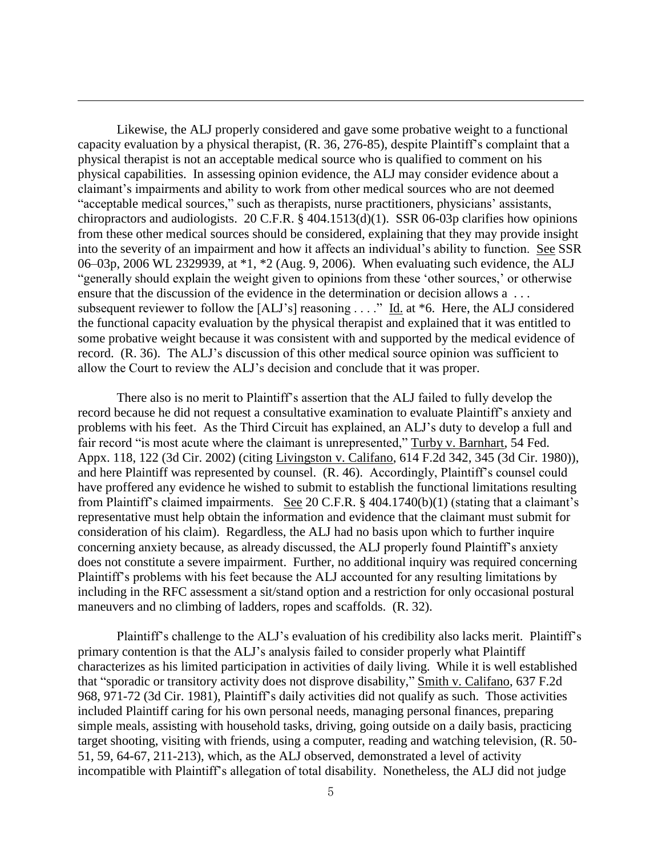Likewise, the ALJ properly considered and gave some probative weight to a functional capacity evaluation by a physical therapist, (R. 36, 276-85), despite Plaintiff's complaint that a physical therapist is not an acceptable medical source who is qualified to comment on his physical capabilities. In assessing opinion evidence, the ALJ may consider evidence about a claimant's impairments and ability to work from other medical sources who are not deemed "acceptable medical sources," such as therapists, nurse practitioners, physicians' assistants, chiropractors and audiologists. 20 C.F.R. § 404.1513(d)(1). SSR 06-03p clarifies how opinions from these other medical sources should be considered, explaining that they may provide insight into the severity of an impairment and how it affects an individual's ability to function. See SSR 06–03p, 2006 WL 2329939, at \*1, \*2 (Aug. 9, 2006). When evaluating such evidence, the ALJ "generally should explain the weight given to opinions from these 'other sources,' or otherwise ensure that the discussion of the evidence in the determination or decision allows a . . . subsequent reviewer to follow the  $[ALJ's]$  reasoning . . . ." Id. at \*6. Here, the ALJ considered the functional capacity evaluation by the physical therapist and explained that it was entitled to some probative weight because it was consistent with and supported by the medical evidence of record. (R. 36). The ALJ's discussion of this other medical source opinion was sufficient to allow the Court to review the ALJ's decision and conclude that it was proper.

 $\overline{a}$ 

There also is no merit to Plaintiff's assertion that the ALJ failed to fully develop the record because he did not request a consultative examination to evaluate Plaintiff's anxiety and problems with his feet. As the Third Circuit has explained, an ALJ's duty to develop a full and fair record "is most acute where the claimant is unrepresented," Turby v. Barnhart, 54 Fed. Appx. 118, 122 (3d Cir. 2002) (citing Livingston v. Califano, 614 F.2d 342, 345 (3d Cir. 1980)), and here Plaintiff was represented by counsel. (R. 46). Accordingly, Plaintiff's counsel could have proffered any evidence he wished to submit to establish the functional limitations resulting from Plaintiff's claimed impairments. See 20 C.F.R. § 404.1740(b)(1) (stating that a claimant's representative must help obtain the information and evidence that the claimant must submit for consideration of his claim). Regardless, the ALJ had no basis upon which to further inquire concerning anxiety because, as already discussed, the ALJ properly found Plaintiff's anxiety does not constitute a severe impairment. Further, no additional inquiry was required concerning Plaintiff's problems with his feet because the ALJ accounted for any resulting limitations by including in the RFC assessment a sit/stand option and a restriction for only occasional postural maneuvers and no climbing of ladders, ropes and scaffolds. (R. 32).

Plaintiff's challenge to the ALJ's evaluation of his credibility also lacks merit. Plaintiff's primary contention is that the ALJ's analysis failed to consider properly what Plaintiff characterizes as his limited participation in activities of daily living. While it is well established that "sporadic or transitory activity does not disprove disability," Smith v. Califano, 637 F.2d 968, 971-72 (3d Cir. 1981), Plaintiff's daily activities did not qualify as such. Those activities included Plaintiff caring for his own personal needs, managing personal finances, preparing simple meals, assisting with household tasks, driving, going outside on a daily basis, practicing target shooting, visiting with friends, using a computer, reading and watching television, (R. 50- 51, 59, 64-67, 211-213), which, as the ALJ observed, demonstrated a level of activity incompatible with Plaintiff's allegation of total disability. Nonetheless, the ALJ did not judge